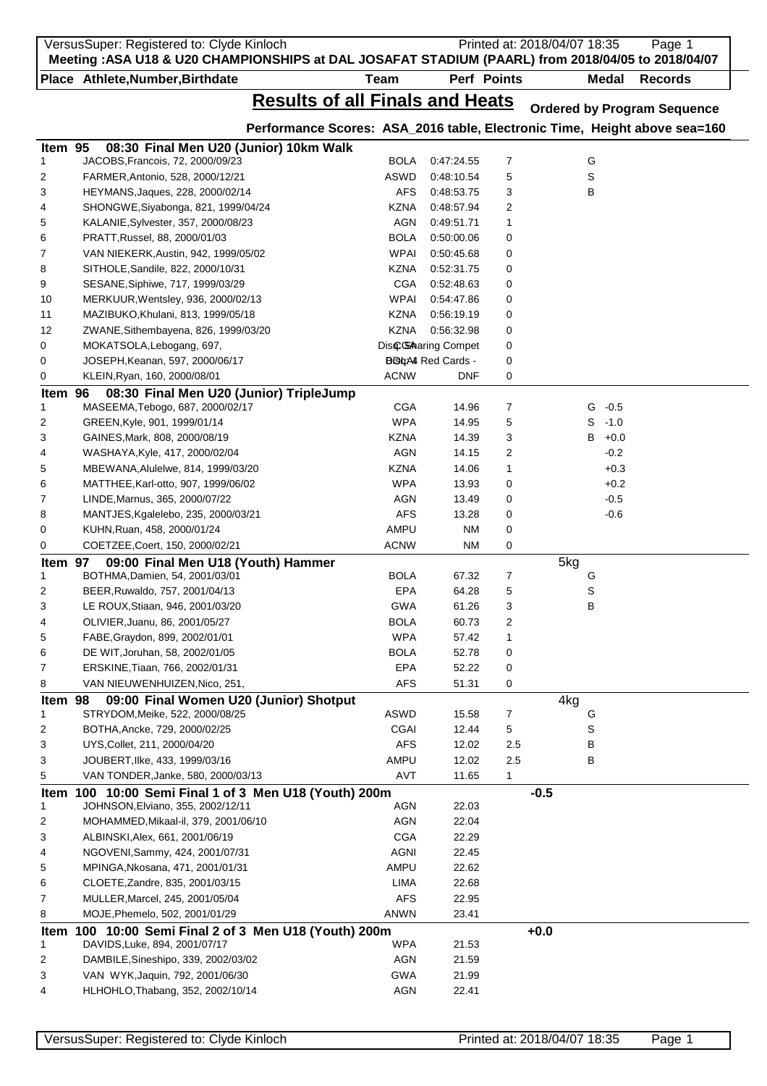|         | VersusSuper: Registered to: Clyde Kinloch<br>Meeting : ASA U18 & U20 CHAMPIONSHIPS at DAL JOSAFAT STADIUM (PAARL) from 2018/04/05 to 2018/04/07 |                           |                          |             | Printed at: 2018/04/07 18:35 |              |                  | Page 1                             |  |
|---------|-------------------------------------------------------------------------------------------------------------------------------------------------|---------------------------|--------------------------|-------------|------------------------------|--------------|------------------|------------------------------------|--|
|         | Place Athlete, Number, Birthdate                                                                                                                | <b>Team</b>               |                          | Perf Points |                              | <b>Medal</b> |                  | <b>Records</b>                     |  |
|         | <b>Results of all Finals and Heats</b>                                                                                                          |                           |                          |             |                              |              |                  |                                    |  |
|         |                                                                                                                                                 |                           |                          |             |                              |              |                  | <b>Ordered by Program Sequence</b> |  |
|         | Performance Scores: ASA_2016 table, Electronic Time, Height above sea=160                                                                       |                           |                          |             |                              |              |                  |                                    |  |
| Item 95 | 08:30 Final Men U20 (Junior) 10km Walk                                                                                                          |                           |                          |             |                              |              |                  |                                    |  |
| 1       | JACOBS, Francois, 72, 2000/09/23                                                                                                                | <b>BOLA</b>               | 0:47:24.55               | 7           |                              | G            |                  |                                    |  |
| 2       | FARMER, Antonio, 528, 2000/12/21                                                                                                                | <b>ASWD</b>               | 0:48:10.54               | 5           |                              | S            |                  |                                    |  |
| 3       | HEYMANS, Jaques, 228, 2000/02/14                                                                                                                | AFS<br><b>KZNA</b>        | 0:48:53.75<br>0:48:57.94 | 3           |                              | в            |                  |                                    |  |
| 4<br>5  | SHONGWE, Siyabonga, 821, 1999/04/24<br>KALANIE, Sylvester, 357, 2000/08/23                                                                      | <b>AGN</b>                | 0:49:51.71               | 2<br>1      |                              |              |                  |                                    |  |
| 6       | PRATT, Russel, 88, 2000/01/03                                                                                                                   | <b>BOLA</b>               | 0:50:00.06               | 0           |                              |              |                  |                                    |  |
| 7       | VAN NIEKERK, Austin, 942, 1999/05/02                                                                                                            | <b>WPAI</b>               | 0:50:45.68               | 0           |                              |              |                  |                                    |  |
| 8       | SITHOLE, Sandile, 822, 2000/10/31                                                                                                               | <b>KZNA</b>               | 0:52:31.75               | 0           |                              |              |                  |                                    |  |
| 9       | SESANE, Siphiwe, 717, 1999/03/29                                                                                                                | <b>CGA</b>                | 0:52:48.63               | 0           |                              |              |                  |                                    |  |
| 10      | MERKUUR, Wentsley, 936, 2000/02/13                                                                                                              | <b>WPAI</b>               | 0:54:47.86               | 0           |                              |              |                  |                                    |  |
| 11      | MAZIBUKO, Khulani, 813, 1999/05/18                                                                                                              | <b>KZNA</b>               | 0:56:19.19               | 0           |                              |              |                  |                                    |  |
| 12      | ZWANE, Sithembayena, 826, 1999/03/20                                                                                                            | <b>KZNA</b>               | 0.56.32.98               | 0           |                              |              |                  |                                    |  |
| 0       | MOKATSOLA, Lebogang, 697,                                                                                                                       |                           | DiscGA aring Compet      | 0           |                              |              |                  |                                    |  |
| 0       | JOSEPH, Keanan, 597, 2000/06/17                                                                                                                 |                           | <b>BG4AI</b> Red Cards - | 0           |                              |              |                  |                                    |  |
| 0       | KLEIN, Ryan, 160, 2000/08/01                                                                                                                    | <b>ACNW</b>               | <b>DNF</b>               | 0           |                              |              |                  |                                    |  |
| Item 96 | 08:30 Final Men U20 (Junior) TripleJump                                                                                                         |                           |                          |             |                              |              |                  |                                    |  |
| 1       | MASEEMA, Tebogo, 687, 2000/02/17                                                                                                                | <b>CGA</b>                | 14.96                    | 7           |                              | $G - 0.5$    |                  |                                    |  |
| 2       | GREEN, Kyle, 901, 1999/01/14                                                                                                                    | <b>WPA</b>                | 14.95                    | 5           |                              | $S - 1.0$    |                  |                                    |  |
| 3       | GAINES, Mark, 808, 2000/08/19                                                                                                                   | <b>KZNA</b>               | 14.39                    | 3           |                              | $B + 0.0$    |                  |                                    |  |
| 4       | WASHAYA, Kyle, 417, 2000/02/04                                                                                                                  | <b>AGN</b><br><b>KZNA</b> | 14.15<br>14.06           | 2<br>1      |                              |              | $-0.2$<br>$+0.3$ |                                    |  |
| 5<br>6  | MBEWANA, Alulelwe, 814, 1999/03/20<br>MATTHEE, Karl-otto, 907, 1999/06/02                                                                       | <b>WPA</b>                | 13.93                    | 0           |                              |              | $+0.2$           |                                    |  |
| 7       | LINDE, Marnus, 365, 2000/07/22                                                                                                                  | <b>AGN</b>                | 13.49                    | 0           |                              |              | $-0.5$           |                                    |  |
| 8       | MANTJES, Kgalelebo, 235, 2000/03/21                                                                                                             | <b>AFS</b>                | 13.28                    | 0           |                              |              | $-0.6$           |                                    |  |
| 0       | KUHN, Ruan, 458, 2000/01/24                                                                                                                     | AMPU                      | <b>NM</b>                | 0           |                              |              |                  |                                    |  |
| 0       | COETZEE, Coert, 150, 2000/02/21                                                                                                                 | <b>ACNW</b>               | <b>NM</b>                | 0           |                              |              |                  |                                    |  |
| Item 97 | 09:00 Final Men U18 (Youth) Hammer                                                                                                              |                           |                          |             | 5kg                          |              |                  |                                    |  |
| 1       | BOTHMA, Damien, 54, 2001/03/01                                                                                                                  | <b>BOLA</b>               | 67.32                    | 7           |                              | G            |                  |                                    |  |
| 2       | BEER, Ruwaldo, 757, 2001/04/13                                                                                                                  | EPA                       | 64.28                    | 5           |                              | S            |                  |                                    |  |
| 3       | LE ROUX, Stiaan, 946, 2001/03/20                                                                                                                | <b>GWA</b>                | 61.26                    | 3           |                              | B            |                  |                                    |  |
| 4       | OLIVIER, Juanu, 86, 2001/05/27                                                                                                                  | <b>BOLA</b>               | 60.73                    | 2           |                              |              |                  |                                    |  |
| 5       | FABE, Graydon, 899, 2002/01/01                                                                                                                  | <b>WPA</b>                | 57.42                    | 1           |                              |              |                  |                                    |  |
| 6       | DE WIT, Joruhan, 58, 2002/01/05                                                                                                                 | <b>BOLA</b>               | 52.78                    | 0           |                              |              |                  |                                    |  |
| 7       | ERSKINE, Tiaan, 766, 2002/01/31                                                                                                                 | <b>EPA</b>                | 52.22                    | 0           |                              |              |                  |                                    |  |
| 8       | VAN NIEUWENHUIZEN, Nico, 251,                                                                                                                   | <b>AFS</b>                | 51.31                    | 0           |                              |              |                  |                                    |  |
| Item 98 | 09:00 Final Women U20 (Junior) Shotput                                                                                                          |                           |                          |             | 4kg                          |              |                  |                                    |  |
| 1       | STRYDOM, Meike, 522, 2000/08/25                                                                                                                 | ASWD                      | 15.58                    | 7           |                              | G            |                  |                                    |  |
| 2<br>3  | BOTHA, Ancke, 729, 2000/02/25<br>UYS, Collet, 211, 2000/04/20                                                                                   | <b>CGAI</b><br><b>AFS</b> | 12.44                    | 5           |                              | S            |                  |                                    |  |
| 3       | JOUBERT, Ilke, 433, 1999/03/16                                                                                                                  | AMPU                      | 12.02<br>12.02           | 2.5<br>2.5  |                              | В<br>В       |                  |                                    |  |
| 5       | VAN TONDER, Janke, 580, 2000/03/13                                                                                                              | <b>AVT</b>                | 11.65                    | 1           |                              |              |                  |                                    |  |
| Item    | 100 10:00 Semi Final 1 of 3 Men U18 (Youth) 200m                                                                                                |                           |                          |             | $-0.5$                       |              |                  |                                    |  |
| 1       | JOHNSON, Elviano, 355, 2002/12/11                                                                                                               | <b>AGN</b>                | 22.03                    |             |                              |              |                  |                                    |  |
| 2       | MOHAMMED, Mikaal-il, 379, 2001/06/10                                                                                                            | <b>AGN</b>                | 22.04                    |             |                              |              |                  |                                    |  |
| 3       | ALBINSKI, Alex, 661, 2001/06/19                                                                                                                 | <b>CGA</b>                | 22.29                    |             |                              |              |                  |                                    |  |
| 4       | NGOVENI, Sammy, 424, 2001/07/31                                                                                                                 | <b>AGNI</b>               | 22.45                    |             |                              |              |                  |                                    |  |
| 5       | MPINGA, Nkosana, 471, 2001/01/31                                                                                                                | AMPU                      | 22.62                    |             |                              |              |                  |                                    |  |
| 6       | CLOETE, Zandre, 835, 2001/03/15                                                                                                                 | LIMA                      | 22.68                    |             |                              |              |                  |                                    |  |
| 7       | MULLER, Marcel, 245, 2001/05/04                                                                                                                 | <b>AFS</b>                | 22.95                    |             |                              |              |                  |                                    |  |
| 8       | MOJE, Phemelo, 502, 2001/01/29                                                                                                                  | <b>ANWN</b>               | 23.41                    |             |                              |              |                  |                                    |  |
|         | Item 100 10:00 Semi Final 2 of 3 Men U18 (Youth) 200m                                                                                           |                           |                          |             | $+0.0$                       |              |                  |                                    |  |
| 1       | DAVIDS, Luke, 894, 2001/07/17                                                                                                                   | <b>WPA</b>                | 21.53                    |             |                              |              |                  |                                    |  |
| 2       | DAMBILE, Sineshipo, 339, 2002/03/02                                                                                                             | AGN                       | 21.59                    |             |                              |              |                  |                                    |  |
| 3       | VAN WYK, Jaquin, 792, 2001/06/30                                                                                                                | <b>GWA</b>                | 21.99                    |             |                              |              |                  |                                    |  |
| 4       | HLHOHLO, Thabang, 352, 2002/10/14                                                                                                               | <b>AGN</b>                | 22.41                    |             |                              |              |                  |                                    |  |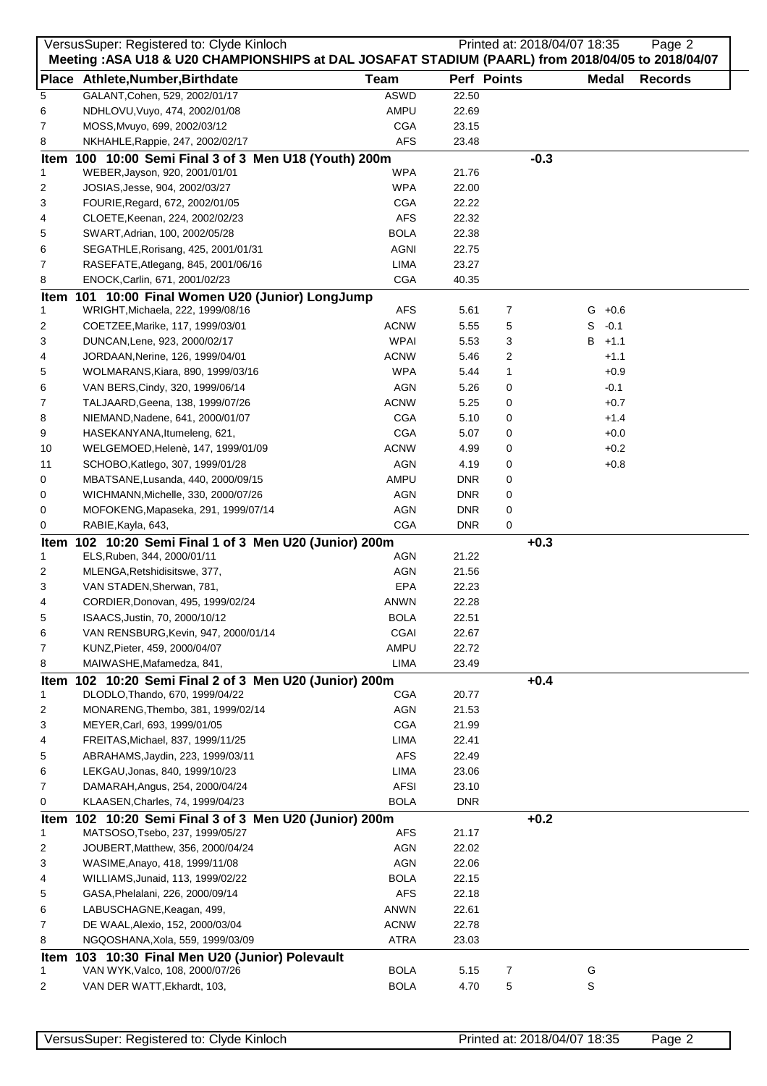| VersusSuper: Registered to: Clyde Kinloch<br>Printed at: 2018/04/07 18:35<br>Page 2 |                                                                                                    |                          |                    |        |              |                |
|-------------------------------------------------------------------------------------|----------------------------------------------------------------------------------------------------|--------------------------|--------------------|--------|--------------|----------------|
|                                                                                     | Meeting : ASA U18 & U20 CHAMPIONSHIPS at DAL JOSAFAT STADIUM (PAARL) from 2018/04/05 to 2018/04/07 |                          |                    |        |              |                |
|                                                                                     | Place Athlete, Number, Birthdate                                                                   | <b>Team</b>              | Perf Points        |        | <b>Medal</b> | <b>Records</b> |
| 5                                                                                   | GALANT, Cohen, 529, 2002/01/17                                                                     | <b>ASWD</b>              | 22.50              |        |              |                |
| 6                                                                                   | NDHLOVU, Vuyo, 474, 2002/01/08                                                                     | AMPU                     | 22.69              |        |              |                |
| 7                                                                                   | MOSS, Mvuyo, 699, 2002/03/12                                                                       | <b>CGA</b>               | 23.15              |        |              |                |
| 8                                                                                   | NKHAHLE, Rappie, 247, 2002/02/17                                                                   | <b>AFS</b>               | 23.48              |        |              |                |
|                                                                                     | Item 100 10:00 Semi Final 3 of 3 Men U18 (Youth) 200m                                              |                          |                    | $-0.3$ |              |                |
| 1                                                                                   | WEBER, Jayson, 920, 2001/01/01                                                                     | <b>WPA</b>               | 21.76              |        |              |                |
| 2                                                                                   | JOSIAS, Jesse, 904, 2002/03/27                                                                     | <b>WPA</b>               | 22.00              |        |              |                |
| 3<br>4                                                                              | FOURIE, Regard, 672, 2002/01/05<br>CLOETE, Keenan, 224, 2002/02/23                                 | <b>CGA</b><br><b>AFS</b> | 22.22<br>22.32     |        |              |                |
| 5                                                                                   | SWART, Adrian, 100, 2002/05/28                                                                     | <b>BOLA</b>              | 22.38              |        |              |                |
| 6                                                                                   | SEGATHLE, Rorisang, 425, 2001/01/31                                                                | <b>AGNI</b>              | 22.75              |        |              |                |
| 7                                                                                   | RASEFATE, Atlegang, 845, 2001/06/16                                                                | LIMA                     | 23.27              |        |              |                |
| 8                                                                                   | ENOCK, Carlin, 671, 2001/02/23                                                                     | <b>CGA</b>               | 40.35              |        |              |                |
|                                                                                     | Item 101 10:00 Final Women U20 (Junior) LongJump                                                   |                          |                    |        |              |                |
| 1                                                                                   | WRIGHT, Michaela, 222, 1999/08/16                                                                  | <b>AFS</b>               | 5.61               | 7      | $G + 0.6$    |                |
| 2                                                                                   | COETZEE, Marike, 117, 1999/03/01                                                                   | <b>ACNW</b>              | 5.55               | 5      | S<br>$-0.1$  |                |
| 3                                                                                   | DUNCAN, Lene, 923, 2000/02/17                                                                      | <b>WPAI</b>              | 5.53               | 3      | B<br>$+1.1$  |                |
| 4                                                                                   | JORDAAN, Nerine, 126, 1999/04/01                                                                   | <b>ACNW</b>              | 5.46               | 2      | $+1.1$       |                |
| 5                                                                                   | WOLMARANS, Kiara, 890, 1999/03/16                                                                  | <b>WPA</b>               | 5.44               | 1      | $+0.9$       |                |
| 6                                                                                   | VAN BERS, Cindy, 320, 1999/06/14                                                                   | AGN                      | 5.26               | 0      | $-0.1$       |                |
| 7                                                                                   | TALJAARD, Geena, 138, 1999/07/26                                                                   | <b>ACNW</b>              | 5.25               | 0      | $+0.7$       |                |
| 8                                                                                   | NIEMAND, Nadene, 641, 2000/01/07                                                                   | <b>CGA</b>               | 5.10               | 0      | $+1.4$       |                |
| 9                                                                                   | HASEKANYANA, Itumeleng, 621,                                                                       | <b>CGA</b>               | 5.07               | 0      | $+0.0$       |                |
| 10                                                                                  | WELGEMOED, Helenè, 147, 1999/01/09                                                                 | <b>ACNW</b>              | 4.99               | 0      | $+0.2$       |                |
| 11<br>0                                                                             | SCHOBO, Katlego, 307, 1999/01/28                                                                   | <b>AGN</b><br>AMPU       | 4.19<br><b>DNR</b> | 0<br>0 | $+0.8$       |                |
| 0                                                                                   | MBATSANE, Lusanda, 440, 2000/09/15<br>WICHMANN, Michelle, 330, 2000/07/26                          | <b>AGN</b>               | <b>DNR</b>         | 0      |              |                |
| 0                                                                                   | MOFOKENG, Mapaseka, 291, 1999/07/14                                                                | AGN                      | <b>DNR</b>         | 0      |              |                |
| 0                                                                                   | RABIE, Kayla, 643,                                                                                 | <b>CGA</b>               | <b>DNR</b>         | 0      |              |                |
| Item                                                                                | 102 10:20 Semi Final 1 of 3 Men U20 (Junior) 200m                                                  |                          |                    | $+0.3$ |              |                |
| 1                                                                                   | ELS, Ruben, 344, 2000/01/11                                                                        | AGN                      | 21.22              |        |              |                |
| 2                                                                                   | MLENGA, Retshidisitswe, 377,                                                                       | <b>AGN</b>               | 21.56              |        |              |                |
| 3                                                                                   | VAN STADEN, Sherwan, 781,                                                                          | EPA                      | 22.23              |        |              |                |
| 4                                                                                   | CORDIER, Donovan, 495, 1999/02/24                                                                  | ANWN                     | 22.28              |        |              |                |
| 5                                                                                   | ISAACS, Justin, 70, 2000/10/12                                                                     | <b>BOLA</b>              | 22.51              |        |              |                |
| 6                                                                                   | VAN RENSBURG, Kevin, 947, 2000/01/14                                                               | CGAI                     | 22.67              |        |              |                |
| 7                                                                                   | KUNZ, Pieter, 459, 2000/04/07                                                                      | AMPU                     | 22.72              |        |              |                |
| 8                                                                                   | MAIWASHE, Mafamedza, 841,                                                                          | LIMA                     | 23.49              |        |              |                |
|                                                                                     | Item 102 10:20 Semi Final 2 of 3 Men U20 (Junior) 200m                                             |                          |                    | $+0.4$ |              |                |
| 1                                                                                   | DLODLO, Thando, 670, 1999/04/22                                                                    | <b>CGA</b>               | 20.77              |        |              |                |
| 2<br>3                                                                              | MONARENG, Thembo, 381, 1999/02/14<br>MEYER, Carl, 693, 1999/01/05                                  | <b>AGN</b><br><b>CGA</b> | 21.53<br>21.99     |        |              |                |
| 4                                                                                   | FREITAS, Michael, 837, 1999/11/25                                                                  | LIMA                     | 22.41              |        |              |                |
| 5                                                                                   | ABRAHAMS, Jaydin, 223, 1999/03/11                                                                  | <b>AFS</b>               | 22.49              |        |              |                |
| 6                                                                                   | LEKGAU, Jonas, 840, 1999/10/23                                                                     | LIMA                     | 23.06              |        |              |                |
| 7                                                                                   | DAMARAH, Angus, 254, 2000/04/24                                                                    | <b>AFSI</b>              | 23.10              |        |              |                |
| 0                                                                                   | KLAASEN, Charles, 74, 1999/04/23                                                                   | <b>BOLA</b>              | <b>DNR</b>         |        |              |                |
| Item                                                                                | 102 10:20 Semi Final 3 of 3 Men U20 (Junior) 200m                                                  |                          |                    | $+0.2$ |              |                |
| 1                                                                                   | MATSOSO, Tsebo, 237, 1999/05/27                                                                    | AFS                      | 21.17              |        |              |                |
| 2                                                                                   | JOUBERT, Matthew, 356, 2000/04/24                                                                  | AGN                      | 22.02              |        |              |                |
| 3                                                                                   | WASIME, Anayo, 418, 1999/11/08                                                                     | <b>AGN</b>               | 22.06              |        |              |                |
| 4                                                                                   | WILLIAMS, Junaid, 113, 1999/02/22                                                                  | <b>BOLA</b>              | 22.15              |        |              |                |
| 5                                                                                   | GASA, Phelalani, 226, 2000/09/14                                                                   | <b>AFS</b>               | 22.18              |        |              |                |
| 6                                                                                   | LABUSCHAGNE, Keagan, 499,                                                                          | ANWN                     | 22.61              |        |              |                |
| 7                                                                                   | DE WAAL, Alexio, 152, 2000/03/04                                                                   | <b>ACNW</b>              | 22.78              |        |              |                |
| 8                                                                                   | NGQOSHANA, Xola, 559, 1999/03/09                                                                   | <b>ATRA</b>              | 23.03              |        |              |                |
| Item                                                                                | 103 10:30 Final Men U20 (Junior) Polevault                                                         |                          |                    |        |              |                |
| 1                                                                                   | VAN WYK, Valco, 108, 2000/07/26                                                                    | <b>BOLA</b>              | 5.15               | 7      | G            |                |
| 2                                                                                   | VAN DER WATT, Ekhardt, 103,                                                                        | <b>BOLA</b>              | 4.70               | 5      | S            |                |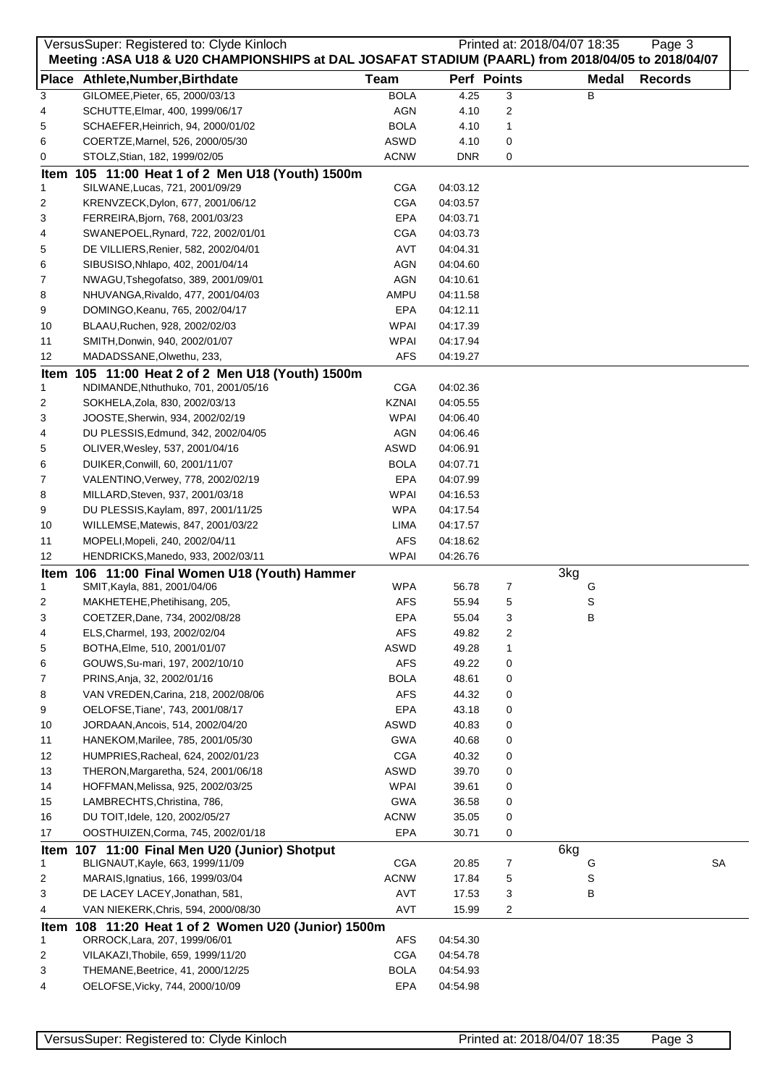|        | VersusSuper: Registered to: Clyde Kinloch                                                         |              |            |             | Printed at: 2018/04/07 18:35 | Page 3         |  |
|--------|---------------------------------------------------------------------------------------------------|--------------|------------|-------------|------------------------------|----------------|--|
|        | Meeting: ASA U18 & U20 CHAMPIONSHIPS at DAL JOSAFAT STADIUM (PAARL) from 2018/04/05 to 2018/04/07 |              |            |             |                              |                |  |
|        | Place Athlete, Number, Birthdate                                                                  | <b>Team</b>  |            | Perf Points | <b>Medal</b>                 | <b>Records</b> |  |
| 3      | GILOMEE, Pieter, 65, 2000/03/13                                                                   | <b>BOLA</b>  | 4.25       | 3           | В                            |                |  |
| 4      | SCHUTTE, Elmar, 400, 1999/06/17                                                                   | <b>AGN</b>   | 4.10       | 2           |                              |                |  |
| 5      | SCHAEFER, Heinrich, 94, 2000/01/02                                                                | <b>BOLA</b>  | 4.10       | 1           |                              |                |  |
| 6      | COERTZE, Marnel, 526, 2000/05/30                                                                  | ASWD         | 4.10       | 0           |                              |                |  |
| 0      | STOLZ, Stian, 182, 1999/02/05                                                                     | <b>ACNW</b>  | <b>DNR</b> | 0           |                              |                |  |
|        | Item 105 11:00 Heat 1 of 2 Men U18 (Youth) 1500m                                                  |              |            |             |                              |                |  |
| 1      | SILWANE, Lucas, 721, 2001/09/29                                                                   | <b>CGA</b>   | 04:03.12   |             |                              |                |  |
| 2      | KRENVZECK, Dylon, 677, 2001/06/12                                                                 | <b>CGA</b>   | 04:03.57   |             |                              |                |  |
| 3      | FERREIRA, Bjorn, 768, 2001/03/23                                                                  | EPA          | 04:03.71   |             |                              |                |  |
| 4      | SWANEPOEL, Rynard, 722, 2002/01/01                                                                | CGA          | 04:03.73   |             |                              |                |  |
| 5      | DE VILLIERS, Renier, 582, 2002/04/01                                                              | AVT          | 04:04.31   |             |                              |                |  |
| 6      | SIBUSISO, Nhlapo, 402, 2001/04/14                                                                 | AGN          | 04:04.60   |             |                              |                |  |
| 7      | NWAGU, Tshegofatso, 389, 2001/09/01                                                               | AGN          | 04:10.61   |             |                              |                |  |
| 8      | NHUVANGA, Rivaldo, 477, 2001/04/03                                                                | AMPU         | 04:11.58   |             |                              |                |  |
| 9      | DOMINGO, Keanu, 765, 2002/04/17                                                                   | EPA          | 04:12.11   |             |                              |                |  |
| 10     | BLAAU, Ruchen, 928, 2002/02/03                                                                    | <b>WPAI</b>  | 04:17.39   |             |                              |                |  |
| 11     | SMITH, Donwin, 940, 2002/01/07                                                                    | <b>WPAI</b>  | 04:17.94   |             |                              |                |  |
| 12     | MADADSSANE, Olwethu, 233,                                                                         | <b>AFS</b>   | 04:19.27   |             |                              |                |  |
| Item   | 105 11:00 Heat 2 of 2 Men U18 (Youth) 1500m                                                       | <b>CGA</b>   | 04:02.36   |             |                              |                |  |
| 1      | NDIMANDE, Nthuthuko, 701, 2001/05/16<br>SOKHELA, Zola, 830, 2002/03/13                            | <b>KZNAI</b> | 04:05.55   |             |                              |                |  |
| 2<br>3 | JOOSTE, Sherwin, 934, 2002/02/19                                                                  | <b>WPAI</b>  | 04:06.40   |             |                              |                |  |
| 4      | DU PLESSIS, Edmund, 342, 2002/04/05                                                               | AGN          | 04:06.46   |             |                              |                |  |
|        | OLIVER, Wesley, 537, 2001/04/16                                                                   | ASWD         | 04:06.91   |             |                              |                |  |
| 5<br>6 | DUIKER, Conwill, 60, 2001/11/07                                                                   | <b>BOLA</b>  | 04:07.71   |             |                              |                |  |
| 7      | VALENTINO, Verwey, 778, 2002/02/19                                                                | EPA          | 04:07.99   |             |                              |                |  |
| 8      | MILLARD, Steven, 937, 2001/03/18                                                                  | WPAI         | 04:16.53   |             |                              |                |  |
| 9      | DU PLESSIS, Kaylam, 897, 2001/11/25                                                               | <b>WPA</b>   | 04:17.54   |             |                              |                |  |
| 10     | WILLEMSE, Matewis, 847, 2001/03/22                                                                | LIMA         | 04:17.57   |             |                              |                |  |
| 11     | MOPELI, Mopeli, 240, 2002/04/11                                                                   | <b>AFS</b>   | 04:18.62   |             |                              |                |  |
| 12     | HENDRICKS, Manedo, 933, 2002/03/11                                                                | <b>WPAI</b>  | 04:26.76   |             |                              |                |  |
| Item   | 106 11:00 Final Women U18 (Youth) Hammer                                                          |              |            |             | 3kg                          |                |  |
| 1      | SMIT, Kayla, 881, 2001/04/06                                                                      | <b>WPA</b>   | 56.78      | 7           | G                            |                |  |
| 2      | MAKHETEHE, Phetihisang, 205,                                                                      | <b>AFS</b>   | 55.94      | 5           | S                            |                |  |
| 3      | COETZER, Dane, 734, 2002/08/28                                                                    | EPA          | 55.04      | 3           | в                            |                |  |
| 4      | ELS, Charmel, 193, 2002/02/04                                                                     | <b>AFS</b>   | 49.82      | 2           |                              |                |  |
| 5      | BOTHA, Elme, 510, 2001/01/07                                                                      | ASWD         | 49.28      | 1           |                              |                |  |
| 6      | GOUWS, Su-mari, 197, 2002/10/10                                                                   | <b>AFS</b>   | 49.22      | 0           |                              |                |  |
| 7      | PRINS, Anja, 32, 2002/01/16                                                                       | <b>BOLA</b>  | 48.61      | 0           |                              |                |  |
| 8      | VAN VREDEN, Carina, 218, 2002/08/06                                                               | <b>AFS</b>   | 44.32      | 0           |                              |                |  |
| 9      | OELOFSE, Tiane', 743, 2001/08/17                                                                  | EPA          | 43.18      | 0           |                              |                |  |
| 10     | JORDAAN, Ancois, 514, 2002/04/20                                                                  | ASWD         | 40.83      | 0           |                              |                |  |
| 11     | HANEKOM, Marilee, 785, 2001/05/30                                                                 | <b>GWA</b>   | 40.68      | 0           |                              |                |  |
| 12     | HUMPRIES, Racheal, 624, 2002/01/23                                                                | <b>CGA</b>   | 40.32      | 0           |                              |                |  |
| 13     | THERON, Margaretha, 524, 2001/06/18                                                               | ASWD         | 39.70      | 0           |                              |                |  |
| 14     | HOFFMAN, Melissa, 925, 2002/03/25                                                                 | <b>WPAI</b>  | 39.61      | 0           |                              |                |  |
| 15     | LAMBRECHTS, Christina, 786,                                                                       | <b>GWA</b>   | 36.58      | 0           |                              |                |  |
| 16     | DU TOIT, Idele, 120, 2002/05/27                                                                   | <b>ACNW</b>  | 35.05      | 0           |                              |                |  |
| 17     | OOSTHUIZEN, Corma, 745, 2002/01/18                                                                | EPA          | 30.71      | 0           |                              |                |  |
| Item   | 107 11:00 Final Men U20 (Junior) Shotput                                                          |              |            |             | 6kg                          |                |  |
| 1      | BLIGNAUT, Kayle, 663, 1999/11/09                                                                  | <b>CGA</b>   | 20.85      | 7           | G                            | SA             |  |
| 2      | MARAIS, Ignatius, 166, 1999/03/04                                                                 | <b>ACNW</b>  | 17.84      | 5           | S                            |                |  |
| 3      | DE LACEY LACEY, Jonathan, 581,                                                                    | AVT          | 17.53      | 3           | В                            |                |  |
| 4      | VAN NIEKERK, Chris, 594, 2000/08/30                                                               | AVT          | 15.99      | 2           |                              |                |  |
|        | Item 108 11:20 Heat 1 of 2 Women U20 (Junior) 1500m                                               |              |            |             |                              |                |  |
| 1      | ORROCK, Lara, 207, 1999/06/01                                                                     | AFS          | 04:54.30   |             |                              |                |  |
| 2      | VILAKAZI, Thobile, 659, 1999/11/20                                                                | <b>CGA</b>   | 04:54.78   |             |                              |                |  |
| 3      | THEMANE, Beetrice, 41, 2000/12/25                                                                 | <b>BOLA</b>  | 04:54.93   |             |                              |                |  |
| 4      | OELOFSE, Vicky, 744, 2000/10/09                                                                   | EPA          | 04:54.98   |             |                              |                |  |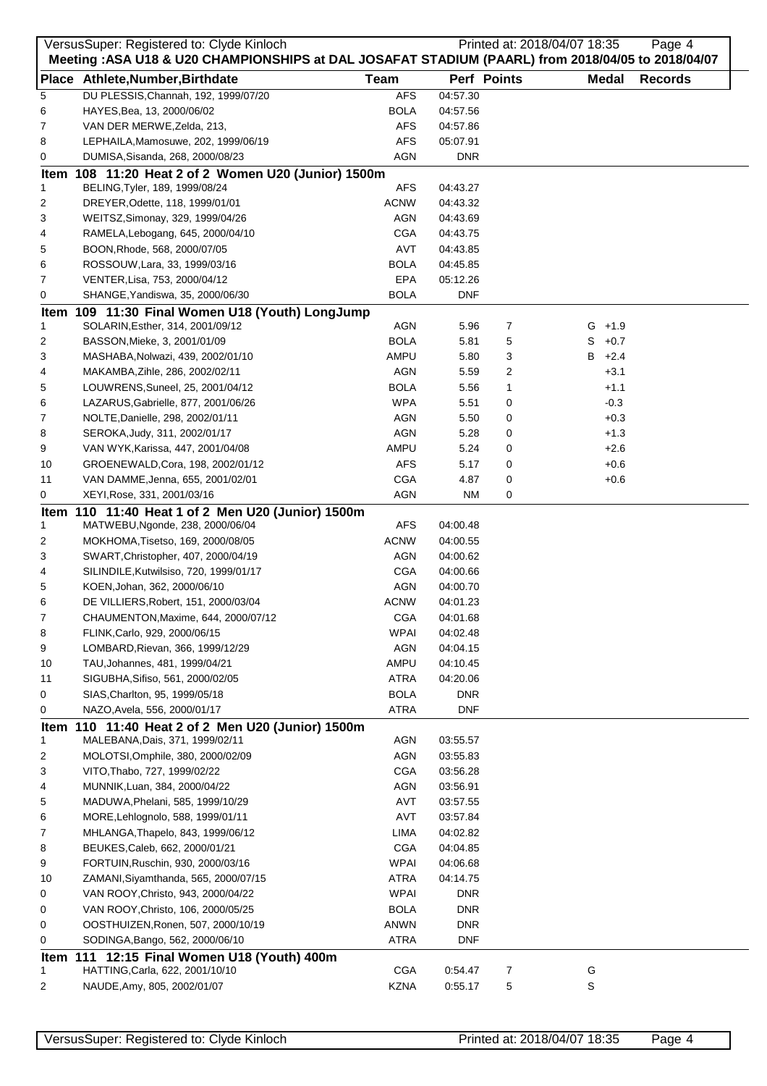|    | VersusSuper: Registered to: Clyde Kinloch                                                          |             |            |             | Printed at: 2018/04/07 18:35 | Page 4         |
|----|----------------------------------------------------------------------------------------------------|-------------|------------|-------------|------------------------------|----------------|
|    | Meeting : ASA U18 & U20 CHAMPIONSHIPS at DAL JOSAFAT STADIUM (PAARL) from 2018/04/05 to 2018/04/07 |             |            | Perf Points |                              |                |
|    | Place Athlete, Number, Birthdate                                                                   | <b>Team</b> |            |             | Medal                        | <b>Records</b> |
| 5  | DU PLESSIS, Channah, 192, 1999/07/20                                                               | <b>AFS</b>  | 04:57.30   |             |                              |                |
| 6  | HAYES, Bea, 13, 2000/06/02                                                                         | BOLA        | 04:57.56   |             |                              |                |
| 7  | VAN DER MERWE, Zelda, 213,                                                                         | <b>AFS</b>  | 04:57.86   |             |                              |                |
| 8  | LEPHAILA, Mamosuwe, 202, 1999/06/19                                                                | <b>AFS</b>  | 05:07.91   |             |                              |                |
| 0  | DUMISA, Sisanda, 268, 2000/08/23                                                                   | <b>AGN</b>  | <b>DNR</b> |             |                              |                |
|    | Item 108 11:20 Heat 2 of 2 Women U20 (Junior) 1500m                                                |             |            |             |                              |                |
| 1  | BELING, Tyler, 189, 1999/08/24                                                                     | AFS         | 04:43.27   |             |                              |                |
| 2  | DREYER, Odette, 118, 1999/01/01                                                                    | <b>ACNW</b> | 04:43.32   |             |                              |                |
| 3  | WEITSZ, Simonay, 329, 1999/04/26                                                                   | AGN         | 04:43.69   |             |                              |                |
| 4  | RAMELA, Lebogang, 645, 2000/04/10                                                                  | <b>CGA</b>  | 04:43.75   |             |                              |                |
| 5  | BOON, Rhode, 568, 2000/07/05                                                                       | AVT         | 04:43.85   |             |                              |                |
| 6  | ROSSOUW, Lara, 33, 1999/03/16                                                                      | BOLA        | 04:45.85   |             |                              |                |
| 7  | VENTER, Lisa, 753, 2000/04/12                                                                      | EPA         | 05:12.26   |             |                              |                |
| 0  | SHANGE, Yandiswa, 35, 2000/06/30                                                                   | <b>BOLA</b> | <b>DNF</b> |             |                              |                |
|    | Item 109 11:30 Final Women U18 (Youth) LongJump                                                    |             |            |             |                              |                |
| 1  | SOLARIN, Esther, 314, 2001/09/12                                                                   | <b>AGN</b>  | 5.96       | 7           | $G + 1.9$                    |                |
| 2  | BASSON, Mieke, 3, 2001/01/09                                                                       | <b>BOLA</b> | 5.81       | 5           | S<br>$+0.7$                  |                |
| 3  | MASHABA, Nolwazi, 439, 2002/01/10                                                                  | AMPU        | 5.80       | 3           | В<br>$+2.4$                  |                |
| 4  | MAKAMBA, Zihle, 286, 2002/02/11                                                                    | <b>AGN</b>  | 5.59       | 2           | $+3.1$                       |                |
| 5  | LOUWRENS, Suneel, 25, 2001/04/12                                                                   | <b>BOLA</b> | 5.56       | 1           | $+1.1$                       |                |
| 6  | LAZARUS, Gabrielle, 877, 2001/06/26                                                                | <b>WPA</b>  | 5.51       | 0           | $-0.3$                       |                |
| 7  | NOLTE, Danielle, 298, 2002/01/11                                                                   | AGN         | 5.50       | 0           | $+0.3$                       |                |
| 8  | SEROKA, Judy, 311, 2002/01/17                                                                      | <b>AGN</b>  | 5.28       | 0           | $+1.3$                       |                |
| 9  | VAN WYK, Karissa, 447, 2001/04/08                                                                  | AMPU        | 5.24       | 0           | $+2.6$                       |                |
| 10 | GROENEWALD, Cora, 198, 2002/01/12                                                                  | <b>AFS</b>  | 5.17       | 0           | $+0.6$                       |                |
| 11 | VAN DAMME, Jenna, 655, 2001/02/01                                                                  | CGA         | 4.87       | 0           | $+0.6$                       |                |
| 0  | XEYI, Rose, 331, 2001/03/16                                                                        | AGN         | <b>NM</b>  | 0           |                              |                |
|    | Item 110 11:40 Heat 1 of 2 Men U20 (Junior) 1500m                                                  |             |            |             |                              |                |
| 1  | MATWEBU, Ngonde, 238, 2000/06/04                                                                   | AFS         | 04:00.48   |             |                              |                |
| 2  | MOKHOMA, Tisetso, 169, 2000/08/05                                                                  | <b>ACNW</b> | 04:00.55   |             |                              |                |
| 3  | SWART, Christopher, 407, 2000/04/19                                                                | AGN         | 04:00.62   |             |                              |                |
| 4  | SILINDILE, Kutwilsiso, 720, 1999/01/17                                                             | <b>CGA</b>  | 04:00.66   |             |                              |                |
| 5  | KOEN, Johan, 362, 2000/06/10                                                                       | AGN         | 04:00.70   |             |                              |                |
| 6  | DE VILLIERS, Robert, 151, 2000/03/04                                                               | <b>ACNW</b> | 04:01.23   |             |                              |                |
| 7  | CHAUMENTON, Maxime, 644, 2000/07/12                                                                | <b>CGA</b>  | 04:01.68   |             |                              |                |
| 8  | FLINK, Carlo, 929, 2000/06/15                                                                      | <b>WPAI</b> | 04:02.48   |             |                              |                |
| 9  | LOMBARD, Rievan, 366, 1999/12/29                                                                   | <b>AGN</b>  | 04:04.15   |             |                              |                |
| 10 | TAU, Johannes, 481, 1999/04/21                                                                     | AMPU        | 04:10.45   |             |                              |                |
| 11 | SIGUBHA, Sifiso, 561, 2000/02/05                                                                   | <b>ATRA</b> | 04:20.06   |             |                              |                |
| 0  | SIAS, Charlton, 95, 1999/05/18                                                                     | <b>BOLA</b> | <b>DNR</b> |             |                              |                |
| 0  | NAZO, Avela, 556, 2000/01/17                                                                       | <b>ATRA</b> | <b>DNF</b> |             |                              |                |
|    | Item 110 11:40 Heat 2 of 2 Men U20 (Junior) 1500m                                                  |             |            |             |                              |                |
| 1  | MALEBANA, Dais, 371, 1999/02/11                                                                    | AGN         | 03:55.57   |             |                              |                |
| 2  | MOLOTSI, Omphile, 380, 2000/02/09                                                                  | <b>AGN</b>  | 03:55.83   |             |                              |                |
| 3  | VITO, Thabo, 727, 1999/02/22                                                                       | <b>CGA</b>  | 03:56.28   |             |                              |                |
| 4  | MUNNIK, Luan, 384, 2000/04/22                                                                      | AGN         | 03:56.91   |             |                              |                |
| 5  | MADUWA, Phelani, 585, 1999/10/29                                                                   | AVT         | 03:57.55   |             |                              |                |
| 6  | MORE, Lehlognolo, 588, 1999/01/11                                                                  | AVT         | 03:57.84   |             |                              |                |
| 7  | MHLANGA, Thapelo, 843, 1999/06/12                                                                  | LIMA        | 04:02.82   |             |                              |                |
| 8  | BEUKES, Caleb, 662, 2000/01/21                                                                     | <b>CGA</b>  | 04:04.85   |             |                              |                |
| 9  | FORTUIN, Ruschin, 930, 2000/03/16                                                                  | <b>WPAI</b> | 04:06.68   |             |                              |                |
|    | ZAMANI, Siyamthanda, 565, 2000/07/15                                                               | <b>ATRA</b> |            |             |                              |                |
| 10 |                                                                                                    |             | 04:14.75   |             |                              |                |
| 0  | VAN ROOY, Christo, 943, 2000/04/22                                                                 | <b>WPAI</b> | <b>DNR</b> |             |                              |                |
| 0  | VAN ROOY, Christo, 106, 2000/05/25                                                                 | <b>BOLA</b> | <b>DNR</b> |             |                              |                |
| 0  | OOSTHUIZEN, Ronen, 507, 2000/10/19                                                                 | ANWN        | <b>DNR</b> |             |                              |                |
| 0  | SODINGA, Bango, 562, 2000/06/10                                                                    | <b>ATRA</b> | <b>DNF</b> |             |                              |                |
|    | Item 111 12:15 Final Women U18 (Youth) 400m                                                        |             |            |             |                              |                |
| 1  | HATTING, Carla, 622, 2001/10/10                                                                    | <b>CGA</b>  | 0:54.47    | 7           | G                            |                |
| 2  | NAUDE, Amy, 805, 2002/01/07                                                                        | <b>KZNA</b> | 0:55.17    | 5           | S                            |                |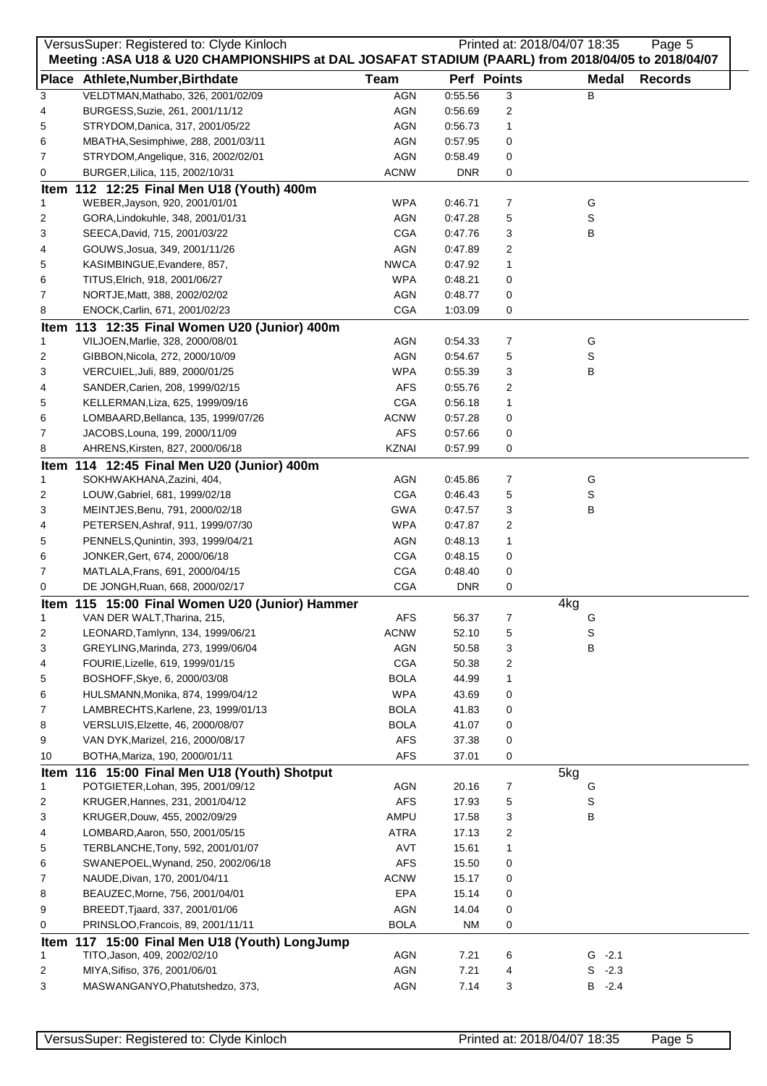|              | VersusSuper: Registered to: Clyde Kinloch                                                                                              |              |            |                | Printed at: 2018/04/07 18:35 | Page 5         |
|--------------|----------------------------------------------------------------------------------------------------------------------------------------|--------------|------------|----------------|------------------------------|----------------|
|              | Meeting : ASA U18 & U20 CHAMPIONSHIPS at DAL JOSAFAT STADIUM (PAARL) from 2018/04/05 to 2018/04/07<br>Place Athlete, Number, Birthdate | <b>Team</b>  |            | Perf Points    | <b>Medal</b>                 | <b>Records</b> |
| 3            | VELDTMAN, Mathabo, 326, 2001/02/09                                                                                                     | <b>AGN</b>   | 0:55.56    | 3              | В                            |                |
| 4            | BURGESS, Suzie, 261, 2001/11/12                                                                                                        | AGN          | 0:56.69    | $\overline{c}$ |                              |                |
|              |                                                                                                                                        | <b>AGN</b>   |            |                |                              |                |
| 5            | STRYDOM, Danica, 317, 2001/05/22                                                                                                       |              | 0:56.73    | 1              |                              |                |
| 6            | MBATHA, Sesimphiwe, 288, 2001/03/11                                                                                                    | <b>AGN</b>   | 0:57.95    | 0              |                              |                |
| 7            | STRYDOM, Angelique, 316, 2002/02/01                                                                                                    | <b>AGN</b>   | 0:58.49    | 0              |                              |                |
| 0            | BURGER, Lilica, 115, 2002/10/31                                                                                                        | <b>ACNW</b>  | <b>DNR</b> | 0              |                              |                |
|              | Item 112 12:25 Final Men U18 (Youth) 400m                                                                                              |              |            |                |                              |                |
| 1            | WEBER, Jayson, 920, 2001/01/01                                                                                                         | <b>WPA</b>   | 0:46.71    | 7              | G                            |                |
| 2            | GORA, Lindokuhle, 348, 2001/01/31                                                                                                      | AGN          | 0:47.28    | 5              | S                            |                |
| 3            | SEECA, David, 715, 2001/03/22                                                                                                          | <b>CGA</b>   | 0:47.76    | 3              | в                            |                |
| 4            | GOUWS, Josua, 349, 2001/11/26                                                                                                          | <b>AGN</b>   | 0:47.89    | 2              |                              |                |
| 5            | KASIMBINGUE, Evandere, 857,                                                                                                            | <b>NWCA</b>  | 0:47.92    | 1              |                              |                |
| 6            | TITUS, Elrich, 918, 2001/06/27                                                                                                         | <b>WPA</b>   | 0:48.21    | 0              |                              |                |
| 7            | NORTJE, Matt, 388, 2002/02/02                                                                                                          | AGN          | 0:48.77    | 0              |                              |                |
| 8            | ENOCK, Carlin, 671, 2001/02/23                                                                                                         | <b>CGA</b>   | 1:03.09    | 0              |                              |                |
|              | Item 113 12:35 Final Women U20 (Junior) 400m                                                                                           |              |            |                |                              |                |
| 1            | VILJOEN, Marlie, 328, 2000/08/01                                                                                                       | <b>AGN</b>   | 0:54.33    | 7              | G                            |                |
| 2            | GIBBON, Nicola, 272, 2000/10/09                                                                                                        | <b>AGN</b>   | 0:54.67    | 5              | S                            |                |
| 3            | VERCUIEL, Juli, 889, 2000/01/25                                                                                                        | <b>WPA</b>   | 0:55.39    | 3              | в                            |                |
| 4            | SANDER, Carien, 208, 1999/02/15                                                                                                        | <b>AFS</b>   | 0:55.76    | 2              |                              |                |
| 5            | KELLERMAN, Liza, 625, 1999/09/16                                                                                                       | <b>CGA</b>   | 0:56.18    | 1              |                              |                |
| 6            | LOMBAARD, Bellanca, 135, 1999/07/26                                                                                                    | <b>ACNW</b>  | 0:57.28    | 0              |                              |                |
| 7            | JACOBS, Louna, 199, 2000/11/09                                                                                                         | <b>AFS</b>   | 0:57.66    | 0              |                              |                |
| 8            | AHRENS, Kirsten, 827, 2000/06/18                                                                                                       | <b>KZNAI</b> | 0:57.99    | 0              |                              |                |
|              | Item 114 12:45 Final Men U20 (Junior) 400m                                                                                             |              |            |                |                              |                |
| 1            | SOKHWAKHANA, Zazini, 404,                                                                                                              | <b>AGN</b>   | 0:45.86    | 7              | G                            |                |
| 2            | LOUW, Gabriel, 681, 1999/02/18                                                                                                         | <b>CGA</b>   | 0:46.43    | 5              | S                            |                |
| 3            | MEINTJES, Benu, 791, 2000/02/18                                                                                                        | <b>GWA</b>   | 0:47.57    | 3              | в                            |                |
| 4            |                                                                                                                                        | <b>WPA</b>   | 0:47.87    | 2              |                              |                |
|              | PETERSEN, Ashraf, 911, 1999/07/30                                                                                                      |              |            |                |                              |                |
| 5            | PENNELS, Qunintin, 393, 1999/04/21                                                                                                     | <b>AGN</b>   | 0:48.13    | 1              |                              |                |
| 6            | JONKER, Gert, 674, 2000/06/18                                                                                                          | <b>CGA</b>   | 0:48.15    | 0              |                              |                |
| 7            | MATLALA, Frans, 691, 2000/04/15                                                                                                        | <b>CGA</b>   | 0:48.40    | 0              |                              |                |
| 0            | DE JONGH, Ruan, 668, 2000/02/17                                                                                                        | <b>CGA</b>   | <b>DNR</b> | 0              |                              |                |
|              | Item 115 15:00 Final Women U20 (Junior) Hammer                                                                                         |              |            |                | 4kg                          |                |
| $\mathbf{1}$ | VAN DER WALT, Tharina, 215,                                                                                                            | <b>AFS</b>   | 56.37      | 7              | G                            |                |
| 2            | LEONARD, Tamlynn, 134, 1999/06/21                                                                                                      | <b>ACNW</b>  | 52.10      | 5              | S                            |                |
| 3            | GREYLING, Marinda, 273, 1999/06/04                                                                                                     | <b>AGN</b>   | 50.58      | 3              | в                            |                |
| 4            | FOURIE, Lizelle, 619, 1999/01/15                                                                                                       | <b>CGA</b>   | 50.38      | 2              |                              |                |
| 5            | BOSHOFF, Skye, 6, 2000/03/08                                                                                                           | <b>BOLA</b>  | 44.99      | 1              |                              |                |
| 6            | HULSMANN, Monika, 874, 1999/04/12                                                                                                      | <b>WPA</b>   | 43.69      | 0              |                              |                |
| 7            | LAMBRECHTS, Karlene, 23, 1999/01/13                                                                                                    | <b>BOLA</b>  | 41.83      | 0              |                              |                |
| 8            | VERSLUIS, Elzette, 46, 2000/08/07                                                                                                      | <b>BOLA</b>  | 41.07      | 0              |                              |                |
| 9            | VAN DYK, Marizel, 216, 2000/08/17                                                                                                      | <b>AFS</b>   | 37.38      | 0              |                              |                |
| 10           | BOTHA, Mariza, 190, 2000/01/11                                                                                                         | <b>AFS</b>   | 37.01      | 0              |                              |                |
|              | Item 116 15:00 Final Men U18 (Youth) Shotput                                                                                           |              |            |                | 5kg                          |                |
| 1            | POTGIETER, Lohan, 395, 2001/09/12                                                                                                      | <b>AGN</b>   | 20.16      | 7              | G                            |                |
| 2            | KRUGER, Hannes, 231, 2001/04/12                                                                                                        | <b>AFS</b>   | 17.93      | 5              | S                            |                |
| 3            | KRUGER, Douw, 455, 2002/09/29                                                                                                          | AMPU         | 17.58      | 3              | в                            |                |
| 4            | LOMBARD, Aaron, 550, 2001/05/15                                                                                                        | <b>ATRA</b>  | 17.13      | 2              |                              |                |
| 5            | TERBLANCHE, Tony, 592, 2001/01/07                                                                                                      | <b>AVT</b>   | 15.61      | 1              |                              |                |
| 6            | SWANEPOEL, Wynand, 250, 2002/06/18                                                                                                     | <b>AFS</b>   | 15.50      | 0              |                              |                |
| 7            | NAUDE, Divan, 170, 2001/04/11                                                                                                          | <b>ACNW</b>  | 15.17      | 0              |                              |                |
| 8            | BEAUZEC, Morne, 756, 2001/04/01                                                                                                        | <b>EPA</b>   | 15.14      | 0              |                              |                |
| 9            | BREEDT, Tjaard, 337, 2001/01/06                                                                                                        | <b>AGN</b>   | 14.04      | 0              |                              |                |
| 0            | PRINSLOO, Francois, 89, 2001/11/11                                                                                                     | <b>BOLA</b>  | <b>NM</b>  | 0              |                              |                |
|              |                                                                                                                                        |              |            |                |                              |                |
|              | Item 117 15:00 Final Men U18 (Youth) LongJump                                                                                          |              |            |                |                              |                |
| 1            | TITO, Jason, 409, 2002/02/10                                                                                                           | <b>AGN</b>   | 7.21       | 6              | $G - 2.1$                    |                |
| 2            | MIYA, Sifiso, 376, 2001/06/01                                                                                                          | <b>AGN</b>   | 7.21       | 4              | $S - 2.3$                    |                |
| 3            | MASWANGANYO, Phatutshedzo, 373,                                                                                                        | <b>AGN</b>   | 7.14       | 3              | $B - 2.4$                    |                |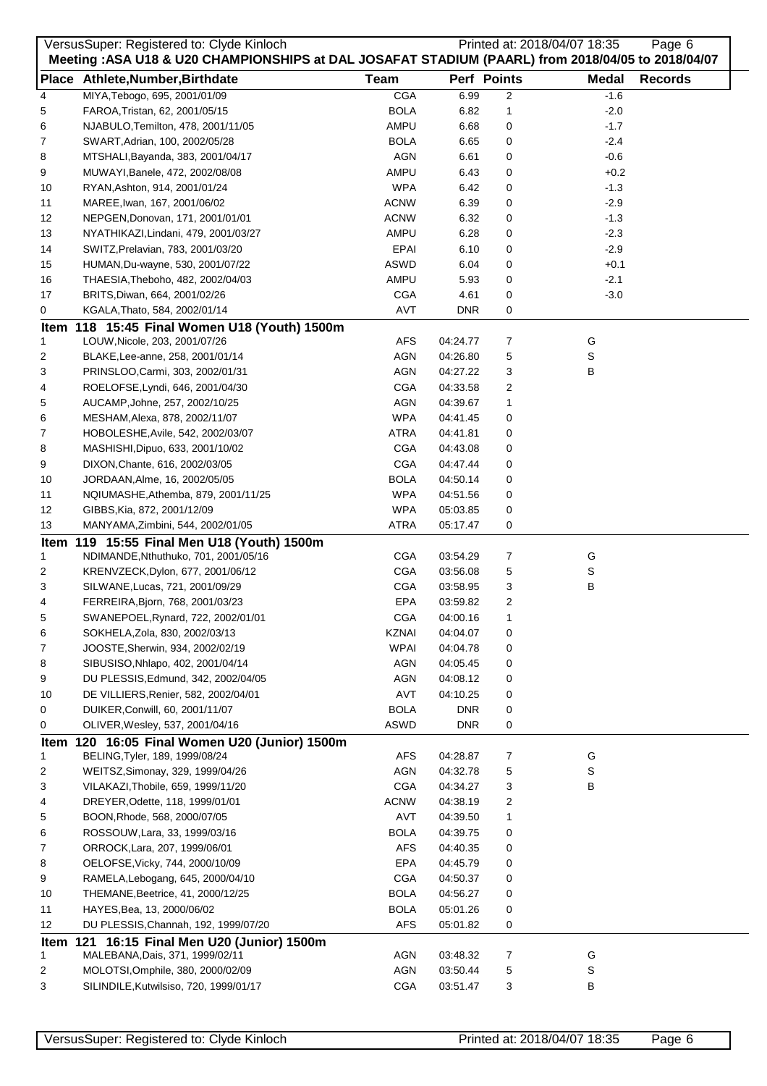|      | VersusSuper: Registered to: Clyde Kinloch<br>Meeting : ASA U18 & U20 CHAMPIONSHIPS at DAL JOSAFAT STADIUM (PAARL) from 2018/04/05 to 2018/04/07 |              |            |                | Printed at: 2018/04/07 18:35 | Page 6         |
|------|-------------------------------------------------------------------------------------------------------------------------------------------------|--------------|------------|----------------|------------------------------|----------------|
|      | Place Athlete, Number, Birthdate                                                                                                                | <b>Team</b>  |            | Perf Points    | <b>Medal</b>                 | <b>Records</b> |
| 4    | MIYA, Tebogo, 695, 2001/01/09                                                                                                                   | <b>CGA</b>   | 6.99       | $\overline{c}$ | $-1.6$                       |                |
| 5    | FAROA, Tristan, 62, 2001/05/15                                                                                                                  | <b>BOLA</b>  | 6.82       | $\mathbf{1}$   | $-2.0$                       |                |
| 6    | NJABULO, Temilton, 478, 2001/11/05                                                                                                              | AMPU         | 6.68       | 0              | $-1.7$                       |                |
| 7    | SWART, Adrian, 100, 2002/05/28                                                                                                                  | <b>BOLA</b>  | 6.65       | 0              | $-2.4$                       |                |
| 8    | MTSHALI, Bayanda, 383, 2001/04/17                                                                                                               | <b>AGN</b>   | 6.61       | 0              | $-0.6$                       |                |
| 9    | MUWAYI, Banele, 472, 2002/08/08                                                                                                                 | AMPU         | 6.43       | 0              | $+0.2$                       |                |
| 10   | RYAN, Ashton, 914, 2001/01/24                                                                                                                   | <b>WPA</b>   | 6.42       | 0              | $-1.3$                       |                |
| 11   | MAREE, Iwan, 167, 2001/06/02                                                                                                                    | <b>ACNW</b>  | 6.39       | 0              | $-2.9$                       |                |
| 12   | NEPGEN, Donovan, 171, 2001/01/01                                                                                                                | <b>ACNW</b>  | 6.32       | 0              | $-1.3$                       |                |
| 13   | NYATHIKAZI, Lindani, 479, 2001/03/27                                                                                                            | AMPU         | 6.28       | 0              | $-2.3$                       |                |
|      |                                                                                                                                                 | <b>EPAI</b>  | 6.10       |                | $-2.9$                       |                |
| 14   | SWITZ, Prelavian, 783, 2001/03/20                                                                                                               | ASWD         |            | 0              |                              |                |
| 15   | HUMAN, Du-wayne, 530, 2001/07/22                                                                                                                | AMPU         | 6.04       | 0              | $+0.1$                       |                |
| 16   | THAESIA, Theboho, 482, 2002/04/03                                                                                                               |              | 5.93       | 0              | $-2.1$                       |                |
| 17   | BRITS, Diwan, 664, 2001/02/26                                                                                                                   | <b>CGA</b>   | 4.61       | 0              | $-3.0$                       |                |
| 0    | KGALA, Thato, 584, 2002/01/14                                                                                                                   | <b>AVT</b>   | <b>DNR</b> | 0              |                              |                |
|      | Item 118 15:45 Final Women U18 (Youth) 1500m                                                                                                    |              |            |                |                              |                |
| 1    | LOUW, Nicole, 203, 2001/07/26                                                                                                                   | AFS          | 04:24.77   | 7              | G                            |                |
| 2    | BLAKE, Lee-anne, 258, 2001/01/14                                                                                                                | AGN          | 04:26.80   | 5              | S                            |                |
| 3    | PRINSLOO, Carmi, 303, 2002/01/31                                                                                                                | <b>AGN</b>   | 04:27.22   | 3              | В                            |                |
| 4    | ROELOFSE, Lyndi, 646, 2001/04/30                                                                                                                | <b>CGA</b>   | 04:33.58   | 2              |                              |                |
| 5    | AUCAMP, Johne, 257, 2002/10/25                                                                                                                  | <b>AGN</b>   | 04:39.67   | 1              |                              |                |
| 6    | MESHAM, Alexa, 878, 2002/11/07                                                                                                                  | <b>WPA</b>   | 04:41.45   | 0              |                              |                |
| 7    | HOBOLESHE, Avile, 542, 2002/03/07                                                                                                               | <b>ATRA</b>  | 04:41.81   | 0              |                              |                |
| 8    | MASHISHI, Dipuo, 633, 2001/10/02                                                                                                                | <b>CGA</b>   | 04:43.08   | 0              |                              |                |
| 9    | DIXON, Chante, 616, 2002/03/05                                                                                                                  | <b>CGA</b>   | 04:47.44   | 0              |                              |                |
| 10   | JORDAAN, Alme, 16, 2002/05/05                                                                                                                   | <b>BOLA</b>  | 04:50.14   | 0              |                              |                |
| 11   | NQIUMASHE, Athemba, 879, 2001/11/25                                                                                                             | <b>WPA</b>   | 04:51.56   | 0              |                              |                |
| 12   | GIBBS, Kia, 872, 2001/12/09                                                                                                                     | <b>WPA</b>   | 05:03.85   | 0              |                              |                |
| 13   | MANYAMA, Zimbini, 544, 2002/01/05                                                                                                               | <b>ATRA</b>  | 05:17.47   | 0              |                              |                |
|      | Item 119 15:55 Final Men U18 (Youth) 1500m                                                                                                      |              |            |                |                              |                |
| 1    | NDIMANDE, Nthuthuko, 701, 2001/05/16                                                                                                            | <b>CGA</b>   | 03:54.29   | 7              | G                            |                |
| 2    | KRENVZECK, Dylon, 677, 2001/06/12                                                                                                               | <b>CGA</b>   | 03:56.08   | 5              | S                            |                |
| 3    | SILWANE, Lucas, 721, 2001/09/29                                                                                                                 | <b>CGA</b>   | 03:58.95   | 3              | В                            |                |
| 4    | FERREIRA, Bjorn, 768, 2001/03/23                                                                                                                | EPA          | 03:59.82   | $\overline{2}$ |                              |                |
| 5    | SWANEPOEL, Rynard, 722, 2002/01/01                                                                                                              | <b>CGA</b>   | 04:00.16   | 1              |                              |                |
| 6    | SOKHELA, Zola, 830, 2002/03/13                                                                                                                  | <b>KZNAI</b> | 04:04.07   | 0              |                              |                |
| 7    | JOOSTE, Sherwin, 934, 2002/02/19                                                                                                                | <b>WPAI</b>  | 04:04.78   | 0              |                              |                |
| 8    | SIBUSISO, Nhlapo, 402, 2001/04/14                                                                                                               | AGN          | 04:05.45   | 0              |                              |                |
| 9    | DU PLESSIS, Edmund, 342, 2002/04/05                                                                                                             | AGN          | 04:08.12   | 0              |                              |                |
| 10   | DE VILLIERS, Renier, 582, 2002/04/01                                                                                                            | AVT          | 04:10.25   | 0              |                              |                |
| 0    | DUIKER, Conwill, 60, 2001/11/07                                                                                                                 | <b>BOLA</b>  | <b>DNR</b> | 0              |                              |                |
| 0    | OLIVER, Wesley, 537, 2001/04/16                                                                                                                 | ASWD         | DNR.       | 0              |                              |                |
| Item | 120 16:05 Final Women U20 (Junior) 1500m                                                                                                        |              |            |                |                              |                |
| 1    | BELING, Tyler, 189, 1999/08/24                                                                                                                  | <b>AFS</b>   | 04:28.87   | 7              | G                            |                |
| 2    | WEITSZ, Simonay, 329, 1999/04/26                                                                                                                | AGN          | 04:32.78   | 5              | S                            |                |
| 3    | VILAKAZI, Thobile, 659, 1999/11/20                                                                                                              | <b>CGA</b>   | 04:34.27   | 3              | в                            |                |
| 4    | DREYER, Odette, 118, 1999/01/01                                                                                                                 | <b>ACNW</b>  | 04:38.19   | 2              |                              |                |
| 5    | BOON, Rhode, 568, 2000/07/05                                                                                                                    | <b>AVT</b>   | 04:39.50   | 1              |                              |                |
| 6    | ROSSOUW, Lara, 33, 1999/03/16                                                                                                                   | <b>BOLA</b>  | 04:39.75   | 0              |                              |                |
| 7    | ORROCK, Lara, 207, 1999/06/01                                                                                                                   | <b>AFS</b>   | 04:40.35   | 0              |                              |                |
| 8    | OELOFSE, Vicky, 744, 2000/10/09                                                                                                                 | EPA          | 04:45.79   | 0              |                              |                |
|      |                                                                                                                                                 |              |            |                |                              |                |
| 9    | RAMELA, Lebogang, 645, 2000/04/10                                                                                                               | <b>CGA</b>   | 04:50.37   | 0              |                              |                |
| 10   | THEMANE, Beetrice, 41, 2000/12/25                                                                                                               | <b>BOLA</b>  | 04:56.27   | 0              |                              |                |
| 11   | HAYES, Bea, 13, 2000/06/02                                                                                                                      | <b>BOLA</b>  | 05:01.26   | 0              |                              |                |
| 12   | DU PLESSIS, Channah, 192, 1999/07/20                                                                                                            | <b>AFS</b>   | 05:01.82   | 0              |                              |                |
|      | Item 121 16:15 Final Men U20 (Junior) 1500m                                                                                                     |              |            |                |                              |                |
| 1    | MALEBANA, Dais, 371, 1999/02/11                                                                                                                 | AGN          | 03:48.32   | 7              | G                            |                |
| 2    | MOLOTSI, Omphile, 380, 2000/02/09                                                                                                               | AGN          | 03:50.44   | 5              | S                            |                |
| 3    | SILINDILE, Kutwilsiso, 720, 1999/01/17                                                                                                          | <b>CGA</b>   | 03:51.47   | 3              | В                            |                |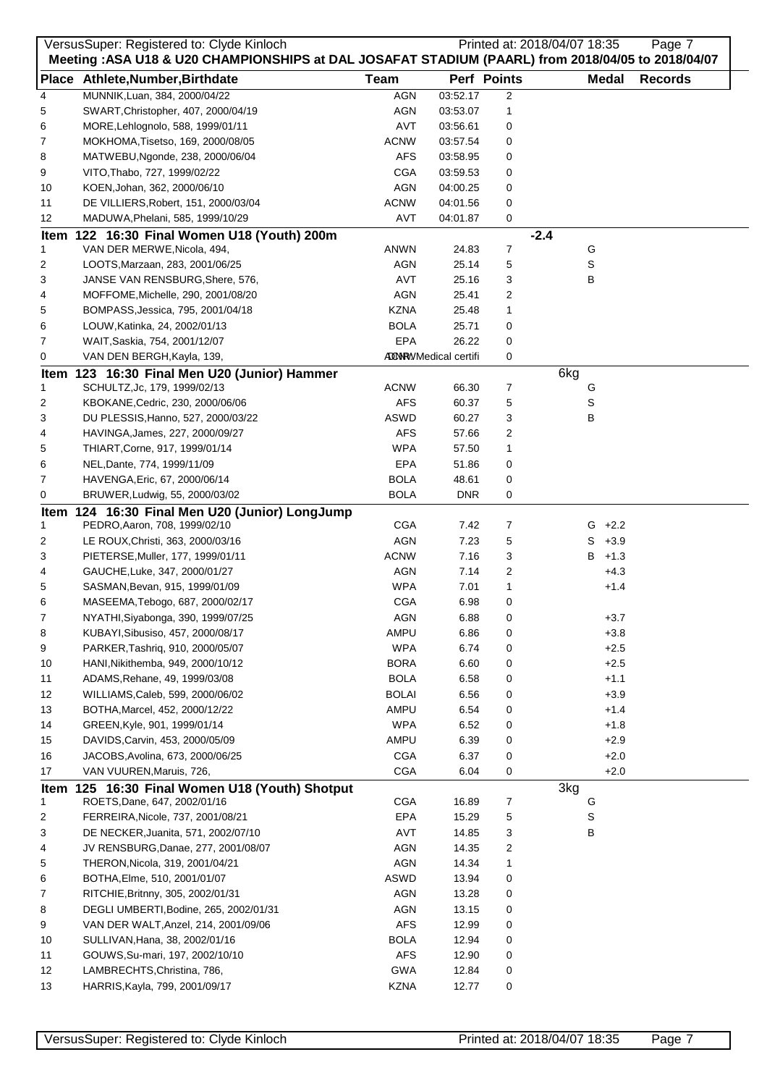|    | VersusSuper: Registered to: Clyde Kinloch<br>Meeting : ASA U18 & U20 CHAMPIONSHIPS at DAL JOSAFAT STADIUM (PAARL) from 2018/04/05 to 2018/04/07 |              |                             |                | Printed at: 2018/04/07 18:35 |           | Page 7         |
|----|-------------------------------------------------------------------------------------------------------------------------------------------------|--------------|-----------------------------|----------------|------------------------------|-----------|----------------|
|    | Place Athlete, Number, Birthdate                                                                                                                | <b>Team</b>  |                             | Perf Points    | <b>Medal</b>                 |           | <b>Records</b> |
| 4  | MUNNIK, Luan, 384, 2000/04/22                                                                                                                   | <b>AGN</b>   | 03:52.17                    | $\overline{2}$ |                              |           |                |
| 5  | SWART, Christopher, 407, 2000/04/19                                                                                                             | AGN          | 03:53.07                    | 1              |                              |           |                |
| 6  | MORE, Lehlognolo, 588, 1999/01/11                                                                                                               | <b>AVT</b>   | 03:56.61                    | 0              |                              |           |                |
| 7  | MOKHOMA, Tisetso, 169, 2000/08/05                                                                                                               | <b>ACNW</b>  | 03:57.54                    | 0              |                              |           |                |
| 8  | MATWEBU, Ngonde, 238, 2000/06/04                                                                                                                | AFS          | 03:58.95                    | 0              |                              |           |                |
| 9  | VITO, Thabo, 727, 1999/02/22                                                                                                                    | <b>CGA</b>   | 03:59.53                    | 0              |                              |           |                |
| 10 | KOEN, Johan, 362, 2000/06/10                                                                                                                    | <b>AGN</b>   | 04:00.25                    | 0              |                              |           |                |
| 11 | DE VILLIERS, Robert, 151, 2000/03/04                                                                                                            | <b>ACNW</b>  | 04:01.56                    | 0              |                              |           |                |
| 12 | MADUWA, Phelani, 585, 1999/10/29                                                                                                                | AVT          | 04:01.87                    | 0              |                              |           |                |
|    | Item 122 16:30 Final Women U18 (Youth) 200m                                                                                                     |              |                             |                | $-2.4$                       |           |                |
| 1  | VAN DER MERWE, Nicola, 494,                                                                                                                     | ANWN         | 24.83                       | 7              | G                            |           |                |
| 2  | LOOTS, Marzaan, 283, 2001/06/25                                                                                                                 | AGN          | 25.14                       | 5              | S                            |           |                |
| 3  | JANSE VAN RENSBURG, Shere, 576,                                                                                                                 | AVT          | 25.16                       | 3              | в                            |           |                |
| 4  | MOFFOME, Michelle, 290, 2001/08/20                                                                                                              | <b>AGN</b>   | 25.41                       | 2              |                              |           |                |
| 5  | BOMPASS, Jessica, 795, 2001/04/18                                                                                                               | <b>KZNA</b>  | 25.48                       | 1              |                              |           |                |
| 6  | LOUW, Katinka, 24, 2002/01/13                                                                                                                   | <b>BOLA</b>  | 25.71                       | 0              |                              |           |                |
| 7  | WAIT, Saskia, 754, 2001/12/07                                                                                                                   | EPA          | 26.22                       | 0              |                              |           |                |
| 0  | VAN DEN BERGH, Kayla, 139,                                                                                                                      |              | <b>ADNRYMedical certifi</b> | 0              |                              |           |                |
|    | Item 123 16:30 Final Men U20 (Junior) Hammer                                                                                                    |              |                             |                | 6kg                          |           |                |
| 1  | SCHULTZ, Jc, 179, 1999/02/13                                                                                                                    | <b>ACNW</b>  | 66.30                       | 7              | G                            |           |                |
| 2  | KBOKANE, Cedric, 230, 2000/06/06                                                                                                                | <b>AFS</b>   | 60.37                       | 5              | S                            |           |                |
| 3  | DU PLESSIS, Hanno, 527, 2000/03/22                                                                                                              | ASWD         | 60.27                       | 3              | В                            |           |                |
| 4  | HAVINGA, James, 227, 2000/09/27                                                                                                                 | <b>AFS</b>   | 57.66                       | 2              |                              |           |                |
| 5  | THIART, Corne, 917, 1999/01/14                                                                                                                  | <b>WPA</b>   | 57.50                       | 1              |                              |           |                |
| 6  | NEL, Dante, 774, 1999/11/09                                                                                                                     | EPA          | 51.86                       | 0              |                              |           |                |
| 7  | HAVENGA, Eric, 67, 2000/06/14                                                                                                                   | <b>BOLA</b>  | 48.61                       | 0              |                              |           |                |
| 0  | BRUWER, Ludwig, 55, 2000/03/02                                                                                                                  | <b>BOLA</b>  | <b>DNR</b>                  | 0              |                              |           |                |
|    | Item 124 16:30 Final Men U20 (Junior) LongJump                                                                                                  |              |                             |                |                              |           |                |
| 1  | PEDRO, Aaron, 708, 1999/02/10                                                                                                                   | <b>CGA</b>   | 7.42                        | 7              |                              | $G + 2.2$ |                |
| 2  | LE ROUX, Christi, 363, 2000/03/16                                                                                                               | <b>AGN</b>   | 7.23                        | 5              |                              | $S + 3.9$ |                |
| 3  | PIETERSE, Muller, 177, 1999/01/11                                                                                                               | <b>ACNW</b>  | 7.16                        | 3              | B                            | $+1.3$    |                |
| 4  | GAUCHE, Luke, 347, 2000/01/27                                                                                                                   | <b>AGN</b>   | 7.14                        | 2              |                              | $+4.3$    |                |
| 5  | SASMAN, Bevan, 915, 1999/01/09                                                                                                                  | <b>WPA</b>   | 7.01                        | 1              |                              | $+1.4$    |                |
| 6  | MASEEMA, Tebogo, 687, 2000/02/17                                                                                                                | <b>CGA</b>   | 6.98                        | 0              |                              |           |                |
| 7  | NYATHI, Siyabonga, 390, 1999/07/25                                                                                                              | AGN          | 6.88                        | 0              |                              | $+3.7$    |                |
| 8  | KUBAYI, Sibusiso, 457, 2000/08/17                                                                                                               | AMPU         | 6.86                        | 0              |                              | $+3.8$    |                |
| 9  | PARKER, Tashriq, 910, 2000/05/07                                                                                                                | <b>WPA</b>   | 6.74                        | 0              |                              | $+2.5$    |                |
| 10 | HANI, Nikithemba, 949, 2000/10/12                                                                                                               | <b>BORA</b>  | 6.60                        | 0              |                              | $+2.5$    |                |
| 11 | ADAMS, Rehane, 49, 1999/03/08                                                                                                                   | <b>BOLA</b>  | 6.58                        | 0              |                              | $+1.1$    |                |
| 12 | WILLIAMS, Caleb, 599, 2000/06/02                                                                                                                | <b>BOLAI</b> | 6.56                        | 0              |                              | $+3.9$    |                |
| 13 | BOTHA, Marcel, 452, 2000/12/22                                                                                                                  | AMPU         | 6.54                        | 0              |                              | $+1.4$    |                |
| 14 | GREEN, Kyle, 901, 1999/01/14                                                                                                                    | <b>WPA</b>   | 6.52                        | 0              |                              | $+1.8$    |                |
| 15 | DAVIDS, Carvin, 453, 2000/05/09                                                                                                                 | AMPU         | 6.39                        | 0              |                              | $+2.9$    |                |
| 16 | JACOBS, Avolina, 673, 2000/06/25                                                                                                                | <b>CGA</b>   | 6.37                        | 0              |                              | $+2.0$    |                |
| 17 | VAN VUUREN, Maruis, 726,                                                                                                                        | <b>CGA</b>   | 6.04                        | 0              |                              | $+2.0$    |                |
|    | Item 125 16:30 Final Women U18 (Youth) Shotput                                                                                                  |              |                             |                | 3kg                          |           |                |
| 1  | ROETS, Dane, 647, 2002/01/16                                                                                                                    | CGA          | 16.89                       | 7              | G                            |           |                |
| 2  | FERREIRA, Nicole, 737, 2001/08/21                                                                                                               | EPA          | 15.29                       | 5              | S                            |           |                |
| 3  | DE NECKER, Juanita, 571, 2002/07/10                                                                                                             | AVT          | 14.85                       | 3              | В                            |           |                |
| 4  | JV RENSBURG, Danae, 277, 2001/08/07                                                                                                             | <b>AGN</b>   | 14.35                       | 2              |                              |           |                |
| 5  | THERON, Nicola, 319, 2001/04/21                                                                                                                 | <b>AGN</b>   | 14.34                       | 1              |                              |           |                |
| 6  | BOTHA, Elme, 510, 2001/01/07                                                                                                                    | ASWD         | 13.94                       | 0              |                              |           |                |
| 7  | RITCHIE, Britnny, 305, 2002/01/31                                                                                                               | <b>AGN</b>   | 13.28                       | 0              |                              |           |                |
| 8  | DEGLI UMBERTI, Bodine, 265, 2002/01/31                                                                                                          | AGN          | 13.15                       | 0              |                              |           |                |
| 9  | VAN DER WALT, Anzel, 214, 2001/09/06                                                                                                            | <b>AFS</b>   | 12.99                       | 0              |                              |           |                |
| 10 | SULLIVAN, Hana, 38, 2002/01/16                                                                                                                  | <b>BOLA</b>  | 12.94                       | 0              |                              |           |                |
|    | GOUWS, Su-mari, 197, 2002/10/10                                                                                                                 | <b>AFS</b>   |                             |                |                              |           |                |
| 11 |                                                                                                                                                 | <b>GWA</b>   | 12.90<br>12.84              | 0              |                              |           |                |
| 12 | LAMBRECHTS, Christina, 786,                                                                                                                     |              |                             | 0              |                              |           |                |
| 13 | HARRIS, Kayla, 799, 2001/09/17                                                                                                                  | <b>KZNA</b>  | 12.77                       | 0              |                              |           |                |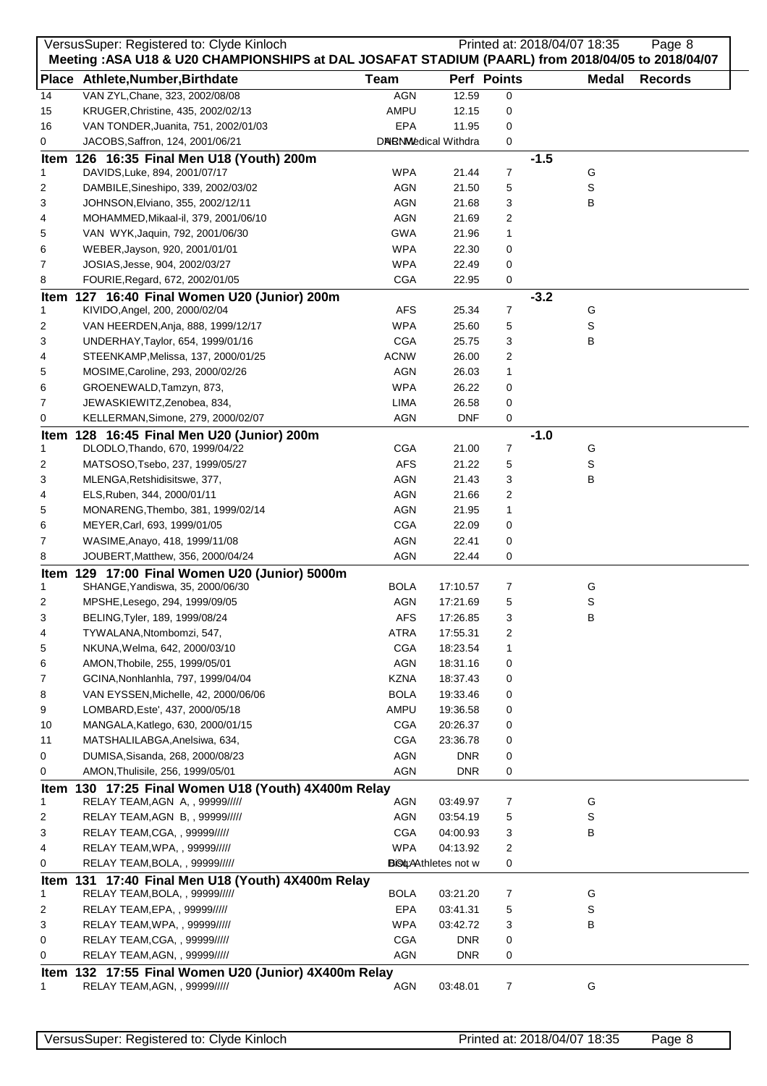|    | VersusSuper: Registered to: Clyde Kinloch<br>Meeting : ASA U18 & U20 CHAMPIONSHIPS at DAL JOSAFAT STADIUM (PAARL) from 2018/04/05 to 2018/04/07 |             |                              |             |        | Printed at: 2018/04/07 18:35 | Page 8         |
|----|-------------------------------------------------------------------------------------------------------------------------------------------------|-------------|------------------------------|-------------|--------|------------------------------|----------------|
|    | Place Athlete, Number, Birthdate                                                                                                                | <b>Team</b> |                              | Perf Points |        | Medal                        | <b>Records</b> |
| 14 | VAN ZYL, Chane, 323, 2002/08/08                                                                                                                 | <b>AGN</b>  | 12.59                        | 0           |        |                              |                |
| 15 | KRUGER, Christine, 435, 2002/02/13                                                                                                              | AMPU        | 12.15                        | 0           |        |                              |                |
| 16 | VAN TONDER, Juanita, 751, 2002/01/03                                                                                                            | EPA         | 11.95                        | 0           |        |                              |                |
| 0  | JACOBS, Saffron, 124, 2001/06/21                                                                                                                |             | DNRNMedical Withdra          | 0           |        |                              |                |
|    | Item 126 16:35 Final Men U18 (Youth) 200m                                                                                                       |             |                              |             | $-1.5$ |                              |                |
| 1  | DAVIDS, Luke, 894, 2001/07/17                                                                                                                   | <b>WPA</b>  | 21.44                        | 7           |        | G                            |                |
| 2  | DAMBILE, Sineshipo, 339, 2002/03/02                                                                                                             | AGN         | 21.50                        | 5           |        | S                            |                |
| 3  | JOHNSON, Elviano, 355, 2002/12/11                                                                                                               | AGN         | 21.68                        | 3           |        | В                            |                |
| 4  | MOHAMMED, Mikaal-il, 379, 2001/06/10                                                                                                            | AGN         | 21.69                        | 2           |        |                              |                |
| 5  | VAN WYK, Jaquin, 792, 2001/06/30                                                                                                                | <b>GWA</b>  | 21.96                        | 1           |        |                              |                |
| 6  | WEBER, Jayson, 920, 2001/01/01                                                                                                                  | <b>WPA</b>  | 22.30                        | 0           |        |                              |                |
| 7  | JOSIAS, Jesse, 904, 2002/03/27                                                                                                                  | WPA         | 22.49                        | 0           |        |                              |                |
| 8  | FOURIE, Regard, 672, 2002/01/05                                                                                                                 | <b>CGA</b>  | 22.95                        | 0           |        |                              |                |
| 1  | Item 127 16:40 Final Women U20 (Junior) 200m<br>KIVIDO, Angel, 200, 2000/02/04                                                                  | <b>AFS</b>  | 25.34                        | 7           | $-3.2$ | G                            |                |
| 2  | VAN HEERDEN, Anja, 888, 1999/12/17                                                                                                              | WPA         | 25.60                        | 5           |        | S                            |                |
| 3  | UNDERHAY, Taylor, 654, 1999/01/16                                                                                                               | CGA         | 25.75                        | 3           |        | В                            |                |
| 4  | STEENKAMP, Melissa, 137, 2000/01/25                                                                                                             | <b>ACNW</b> | 26.00                        | 2           |        |                              |                |
| 5  | MOSIME, Caroline, 293, 2000/02/26                                                                                                               | AGN         | 26.03                        | 1           |        |                              |                |
| 6  | GROENEWALD, Tamzyn, 873,                                                                                                                        | <b>WPA</b>  | 26.22                        | 0           |        |                              |                |
| 7  | JEWASKIEWITZ, Zenobea, 834,                                                                                                                     | LIMA        | 26.58                        | 0           |        |                              |                |
| 0  | KELLERMAN, Simone, 279, 2000/02/07                                                                                                              | <b>AGN</b>  | <b>DNF</b>                   | 0           |        |                              |                |
|    | Item 128 16:45 Final Men U20 (Junior) 200m                                                                                                      |             |                              |             | $-1.0$ |                              |                |
| 1  | DLODLO, Thando, 670, 1999/04/22                                                                                                                 | <b>CGA</b>  | 21.00                        | 7           |        | G                            |                |
| 2  | MATSOSO, Tsebo, 237, 1999/05/27                                                                                                                 | <b>AFS</b>  | 21.22                        | 5           |        | S                            |                |
| 3  | MLENGA, Retshidisitswe, 377,                                                                                                                    | AGN         | 21.43                        | 3           |        | В                            |                |
| 4  | ELS, Ruben, 344, 2000/01/11                                                                                                                     | AGN         | 21.66                        | 2           |        |                              |                |
| 5  | MONARENG, Thembo, 381, 1999/02/14                                                                                                               | AGN         | 21.95                        | 1           |        |                              |                |
| 6  | MEYER, Carl, 693, 1999/01/05                                                                                                                    | <b>CGA</b>  | 22.09                        | 0           |        |                              |                |
| 7  | WASIME, Anayo, 418, 1999/11/08                                                                                                                  | AGN         | 22.41                        | 0           |        |                              |                |
| 8  | JOUBERT, Matthew, 356, 2000/04/24                                                                                                               | <b>AGN</b>  | 22.44                        | 0           |        |                              |                |
|    | Item 129 17:00 Final Women U20 (Junior) 5000m                                                                                                   |             |                              |             |        |                              |                |
| 1  | SHANGE, Yandiswa, 35, 2000/06/30                                                                                                                | BOLA        | 17:10.57                     | 7           |        | G                            |                |
| 2  | MPSHE, Lesego, 294, 1999/09/05                                                                                                                  | <b>AGN</b>  | 17:21.69                     | 5           |        | S                            |                |
| 3  | BELING, Tyler, 189, 1999/08/24                                                                                                                  | AFS         | 17:26.85                     | 3           |        | в                            |                |
| 4  | TYWALANA, Ntombomzi, 547,                                                                                                                       | ATRA        | 17:55.31                     | 2           |        |                              |                |
| 5  | NKUNA, Welma, 642, 2000/03/10                                                                                                                   | <b>CGA</b>  | 18:23.54                     | 1           |        |                              |                |
| 6  | AMON, Thobile, 255, 1999/05/01                                                                                                                  | AGN         | 18:31.16                     | 0           |        |                              |                |
| 7  | GCINA, Nonhlanhla, 797, 1999/04/04                                                                                                              | <b>KZNA</b> | 18:37.43                     | 0           |        |                              |                |
| 8  | VAN EYSSEN, Michelle, 42, 2000/06/06                                                                                                            | <b>BOLA</b> | 19:33.46                     | 0           |        |                              |                |
| 9  | LOMBARD, Este', 437, 2000/05/18                                                                                                                 | AMPU        | 19:36.58                     | 0           |        |                              |                |
| 10 | MANGALA, Katlego, 630, 2000/01/15                                                                                                               | <b>CGA</b>  | 20:26.37                     | 0           |        |                              |                |
| 11 | MATSHALILABGA, Anelsiwa, 634,                                                                                                                   | <b>CGA</b>  | 23:36.78                     | 0           |        |                              |                |
| 0  | DUMISA, Sisanda, 268, 2000/08/23<br>AMON, Thulisile, 256, 1999/05/01                                                                            | AGN         | <b>DNR</b>                   | 0           |        |                              |                |
| 0  |                                                                                                                                                 | AGN         | DNR.                         | 0           |        |                              |                |
| 1  | Item 130 17:25 Final Women U18 (Youth) 4X400m Relay<br>RELAY TEAM, AGN A, , 99999/////                                                          | AGN         | 03:49.97                     | 7           |        | G                            |                |
| 2  | RELAY TEAM, AGN B, , 99999/////                                                                                                                 | AGN         | 03:54.19                     | 5           |        | S                            |                |
| 3  | RELAY TEAM, CGA, , 99999/////                                                                                                                   | CGA         | 04:00.93                     | 3           |        | В                            |                |
| 4  | RELAY TEAM, WPA, , 99999/////                                                                                                                   | <b>WPA</b>  | 04:13.92                     | 2           |        |                              |                |
| 0  | RELAY TEAM, BOLA, , 99999/////                                                                                                                  |             | <b>BiSt</b> : Athletes not w | 0           |        |                              |                |
|    | Item 131 17:40 Final Men U18 (Youth) 4X400m Relay                                                                                               |             |                              |             |        |                              |                |
| 1  | RELAY TEAM, BOLA, , 99999/////                                                                                                                  | <b>BOLA</b> | 03:21.20                     | 7           |        | G                            |                |
| 2  | RELAY TEAM,EPA, , 99999/////                                                                                                                    | EPA         | 03:41.31                     | 5           |        | S                            |                |
| 3  | RELAY TEAM, WPA,, 99999/////                                                                                                                    | <b>WPA</b>  | 03:42.72                     | 3           |        | В                            |                |
| 0  | RELAY TEAM, CGA, , 99999/////                                                                                                                   | <b>CGA</b>  | <b>DNR</b>                   | 0           |        |                              |                |
| 0  | RELAY TEAM, AGN, , 99999/////                                                                                                                   | <b>AGN</b>  | <b>DNR</b>                   | 0           |        |                              |                |
|    | Item 132 17:55 Final Women U20 (Junior) 4X400m Relay                                                                                            |             |                              |             |        |                              |                |
| 1. | RELAY TEAM, AGN, , 99999/////                                                                                                                   | AGN         | 03:48.01                     | 7           |        | G                            |                |
|    |                                                                                                                                                 |             |                              |             |        |                              |                |